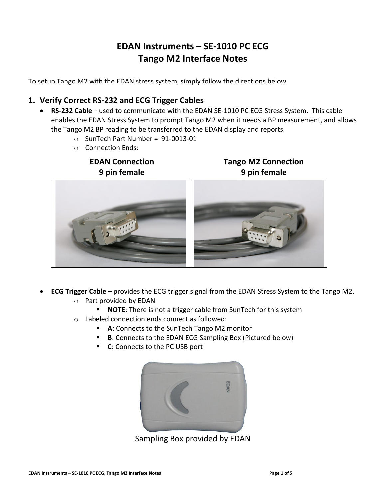# **EDAN Instruments – SE-1010 PC ECG Tango M2 Interface Notes**

To setup Tango M2 with the EDAN stress system, simply follow the directions below.

# **1. Verify Correct RS-232 and ECG Trigger Cables**

- **RS-232 Cable** used to communicate with the EDAN SE-1010 PC ECG Stress System. This cable enables the EDAN Stress System to prompt Tango M2 when it needs a BP measurement, and allows the Tango M2 BP reading to be transferred to the EDAN display and reports.
	- o SunTech Part Number = 91-0013-01
	- o Connection Ends:

**EDAN Connection 9 pin female**

**Tango M2 Connection 9 pin female**



- **ECG Trigger Cable** provides the ECG trigger signal from the EDAN Stress System to the Tango M2. o Part provided by EDAN
	- **NOTE:** There is not a trigger cable from SunTech for this system
	- o Labeled connection ends connect as followed:
		- **A**: Connects to the SunTech Tango M2 monitor
		- **B**: Connects to the EDAN ECG Sampling Box (Pictured below)
		- **C**: Connects to the PC USB port



Sampling Box provided by EDAN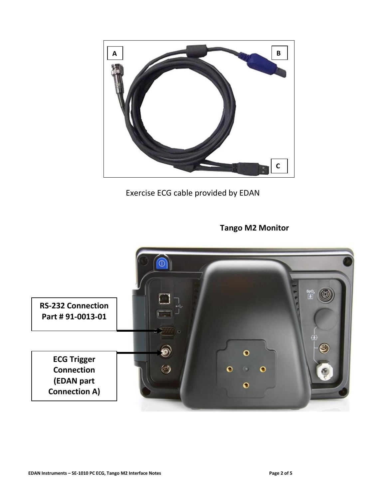

Exercise ECG cable provided by EDAN

**Tango M2 Monitor**

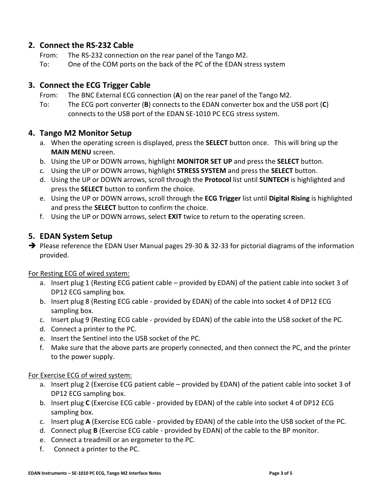# **2. Connect the RS-232 Cable**

- From: The RS-232 connection on the rear panel of the Tango M2.
- To: One of the COM ports on the back of the PC of the EDAN stress system

## **3. Connect the ECG Trigger Cable**

- From: The BNC External ECG connection (**A**) on the rear panel of the Tango M2.
- To: The ECG port converter (**B**) connects to the EDAN converter box and the USB port (**C**) connects to the USB port of the EDAN SE-1010 PC ECG stress system.

## **4. Tango M2 Monitor Setup**

- a. When the operating screen is displayed, press the **SELECT** button once. This will bring up the **MAIN MENU** screen.
- b. Using the UP or DOWN arrows, highlight **MONITOR SET UP** and press the **SELECT** button.
- c. Using the UP or DOWN arrows, highlight **STRESS SYSTEM** and press the **SELECT** button.
- d. Using the UP or DOWN arrows, scroll through the **Protocol** list until **SUNTECH** is highlighted and press the **SELECT** button to confirm the choice.
- e. Using the UP or DOWN arrows, scroll through the **ECG Trigger** list until **Digital Rising** is highlighted and press the **SELECT** button to confirm the choice.
- f. Using the UP or DOWN arrows, select **EXIT** twice to return to the operating screen.

# **5. EDAN System Setup**

➔ Please reference the EDAN User Manual pages 29-30 & 32-33 for pictorial diagrams of the information provided.

## For Resting ECG of wired system:

- a. Insert plug 1 (Resting ECG patient cable provided by EDAN) of the patient cable into socket 3 of DP12 ECG sampling box.
- b. Insert plug 8 (Resting ECG cable provided by EDAN) of the cable into socket 4 of DP12 ECG sampling box.
- c. Insert plug 9 (Resting ECG cable provided by EDAN) of the cable into the USB socket of the PC.
- d. Connect a printer to the PC.
- e. Insert the Sentinel into the USB socket of the PC.
- f. Make sure that the above parts are properly connected, and then connect the PC, and the printer to the power supply.

#### For Exercise ECG of wired system:

- a. Insert plug 2 (Exercise ECG patient cable provided by EDAN) of the patient cable into socket 3 of DP12 ECG sampling box.
- b. Insert plug **C** (Exercise ECG cable provided by EDAN) of the cable into socket 4 of DP12 ECG sampling box.
- c. Insert plug **A** (Exercise ECG cable provided by EDAN) of the cable into the USB socket of the PC.
- d. Connect plug **B** (Exercise ECG cable provided by EDAN) of the cable to the BP monitor.
- e. Connect a treadmill or an ergometer to the PC.
- f. Connect a printer to the PC.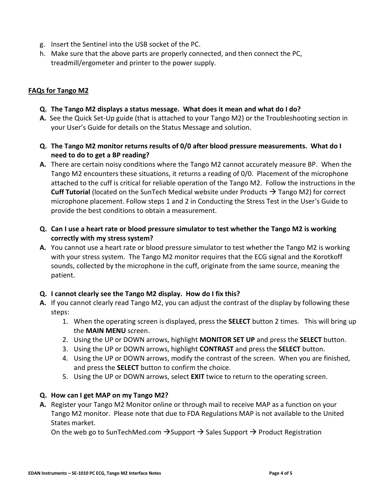- g. Insert the Sentinel into the USB socket of the PC.
- h. Make sure that the above parts are properly connected, and then connect the PC, treadmill/ergometer and printer to the power supply.

#### **FAQs for Tango M2**

- **Q. The Tango M2 displays a status message. What does it mean and what do I do?**
- **A.** See the Quick Set-Up guide (that is attached to your Tango M2) or the Troubleshooting section in your User's Guide for details on the Status Message and solution.
- **Q. The Tango M2 monitor returns results of 0/0 after blood pressure measurements. What do I need to do to get a BP reading?**
- **A.** There are certain noisy conditions where the Tango M2 cannot accurately measure BP. When the Tango M2 encounters these situations, it returns a reading of 0/0. Placement of the microphone attached to the cuff is critical for reliable operation of the Tango M2. Follow the instructions in the **Cuff Tutorial** (located on the SunTech Medical website under Products → Tango M2) for correct microphone placement. Follow steps 1 and 2 in Conducting the Stress Test in the User's Guide to provide the best conditions to obtain a measurement.
- **Q. Can I use a heart rate or blood pressure simulator to test whether the Tango M2 is working correctly with my stress system?**
- **A.** You cannot use a heart rate or blood pressure simulator to test whether the Tango M2 is working with your stress system. The Tango M2 monitor requires that the ECG signal and the Korotkoff sounds, collected by the microphone in the cuff, originate from the same source, meaning the patient.

## **Q. I cannot clearly see the Tango M2 display. How do I fix this?**

- **A.** If you cannot clearly read Tango M2, you can adjust the contrast of the display by following these steps:
	- 1. When the operating screen is displayed, press the **SELECT** button 2 times. This will bring up the **MAIN MENU** screen.
	- 2. Using the UP or DOWN arrows, highlight **MONITOR SET UP** and press the **SELECT** button.
	- 3. Using the UP or DOWN arrows, highlight **CONTRAST** and press the **SELECT** button.
	- 4. Using the UP or DOWN arrows, modify the contrast of the screen. When you are finished, and press the **SELECT** button to confirm the choice.
	- 5. Using the UP or DOWN arrows, select **EXIT** twice to return to the operating screen.

#### **Q. How can I get MAP on my Tango M2?**

**A.** Register your Tango M2 Monitor online or through mail to receive MAP as a function on your Tango M2 monitor. Please note that due to FDA Regulations MAP is not available to the United States market.

On the web go to SunTechMed.com  $\rightarrow$ Support  $\rightarrow$  Sales Support  $\rightarrow$  Product Registration